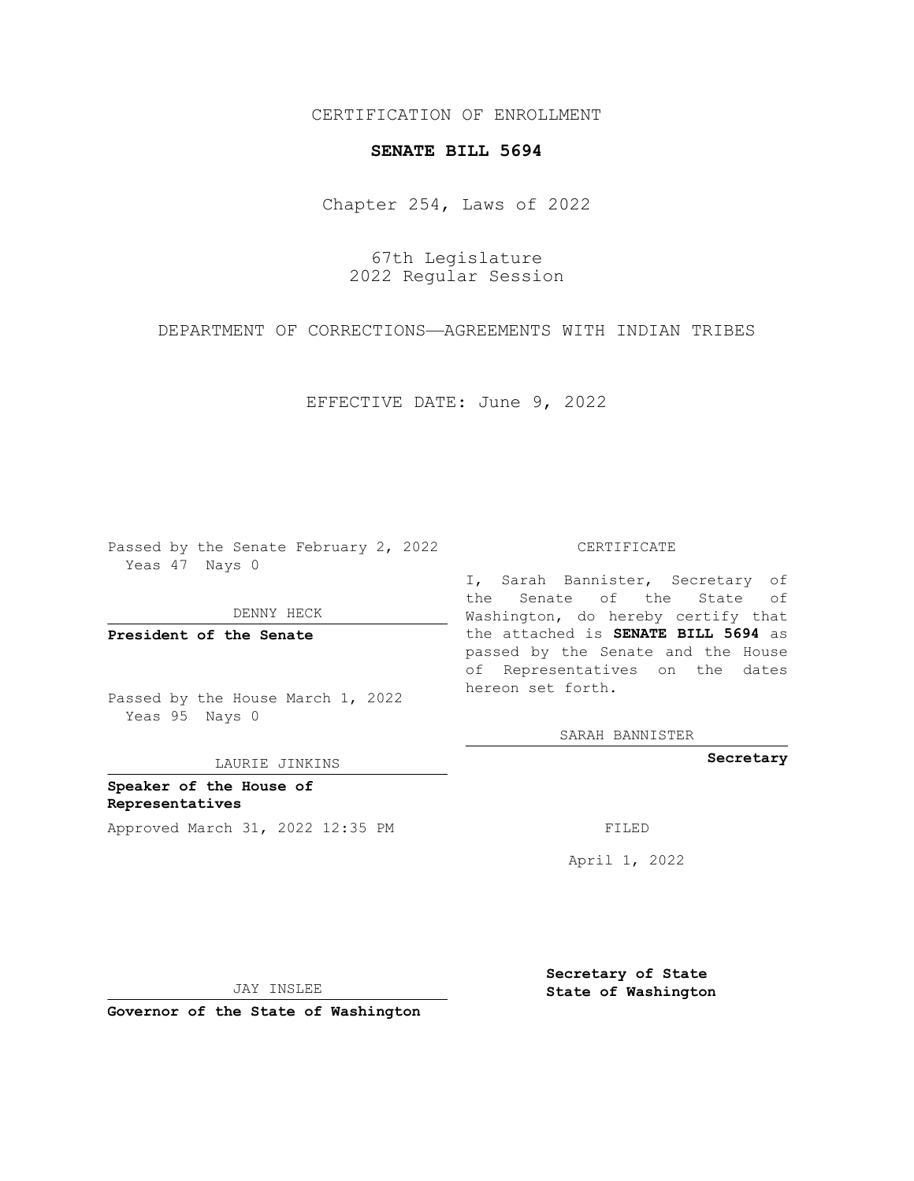CERTIFICATION OF ENROLLMENT

## **SENATE BILL 5694**

Chapter 254, Laws of 2022

67th Legislature 2022 Regular Session

DEPARTMENT OF CORRECTIONS—AGREEMENTS WITH INDIAN TRIBES

EFFECTIVE DATE: June 9, 2022

Passed by the Senate February 2, 2022 Yeas 47 Nays 0

DENNY HECK

**President of the Senate**

Passed by the House March 1, 2022 Yeas 95 Nays 0

LAURIE JINKINS

**Speaker of the House of Representatives** Approved March 31, 2022 12:35 PM FILED

CERTIFICATE

I, Sarah Bannister, Secretary of the Senate of the State of Washington, do hereby certify that the attached is **SENATE BILL 5694** as passed by the Senate and the House of Representatives on the dates hereon set forth.

SARAH BANNISTER

**Secretary**

April 1, 2022

JAY INSLEE

**Governor of the State of Washington**

**Secretary of State State of Washington**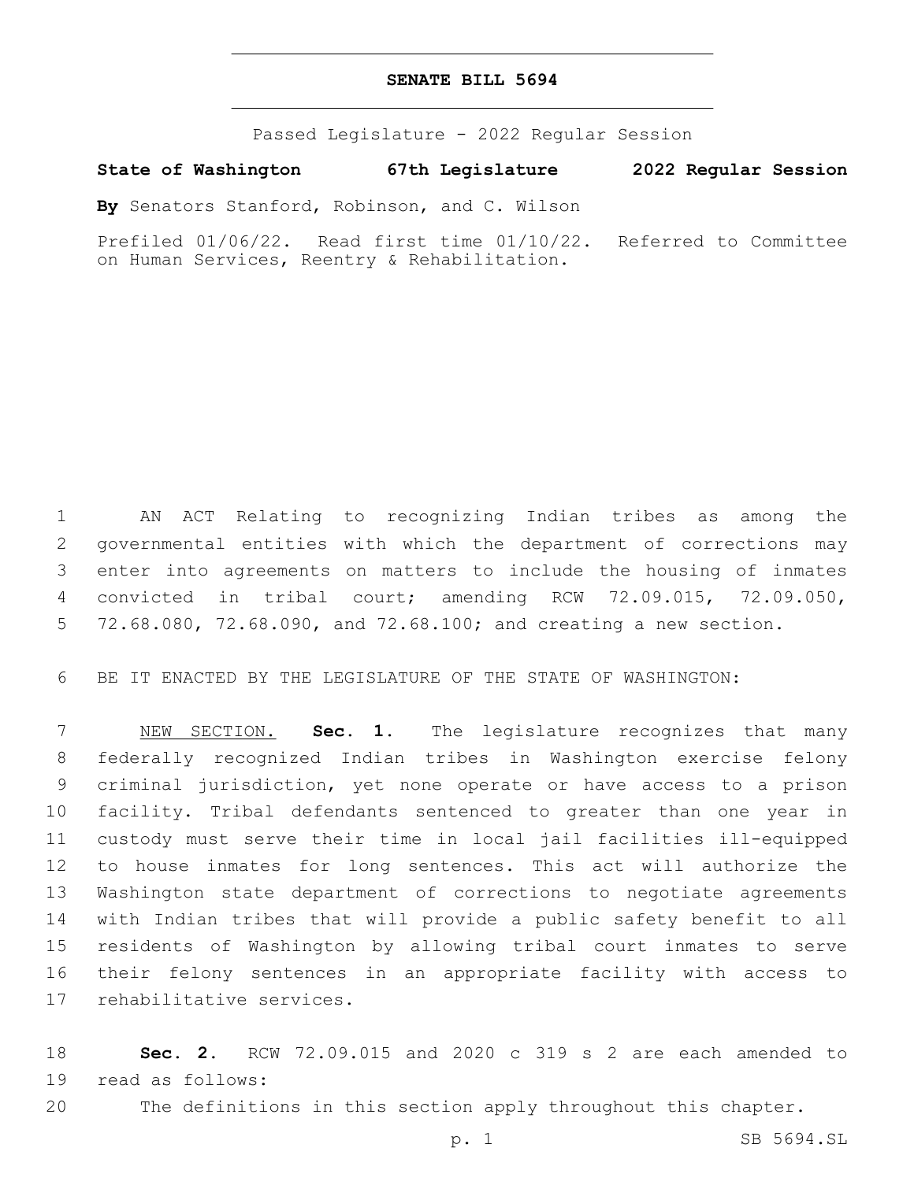## **SENATE BILL 5694**

Passed Legislature - 2022 Regular Session

**State of Washington 67th Legislature 2022 Regular Session**

**By** Senators Stanford, Robinson, and C. Wilson

Prefiled 01/06/22. Read first time 01/10/22. Referred to Committee on Human Services, Reentry & Rehabilitation.

 AN ACT Relating to recognizing Indian tribes as among the governmental entities with which the department of corrections may enter into agreements on matters to include the housing of inmates convicted in tribal court; amending RCW 72.09.015, 72.09.050, 72.68.080, 72.68.090, and 72.68.100; and creating a new section.

BE IT ENACTED BY THE LEGISLATURE OF THE STATE OF WASHINGTON:

 NEW SECTION. **Sec. 1.** The legislature recognizes that many federally recognized Indian tribes in Washington exercise felony criminal jurisdiction, yet none operate or have access to a prison facility. Tribal defendants sentenced to greater than one year in custody must serve their time in local jail facilities ill-equipped to house inmates for long sentences. This act will authorize the Washington state department of corrections to negotiate agreements with Indian tribes that will provide a public safety benefit to all residents of Washington by allowing tribal court inmates to serve their felony sentences in an appropriate facility with access to rehabilitative services.

 **Sec. 2.** RCW 72.09.015 and 2020 c 319 s 2 are each amended to 19 read as follows:

The definitions in this section apply throughout this chapter.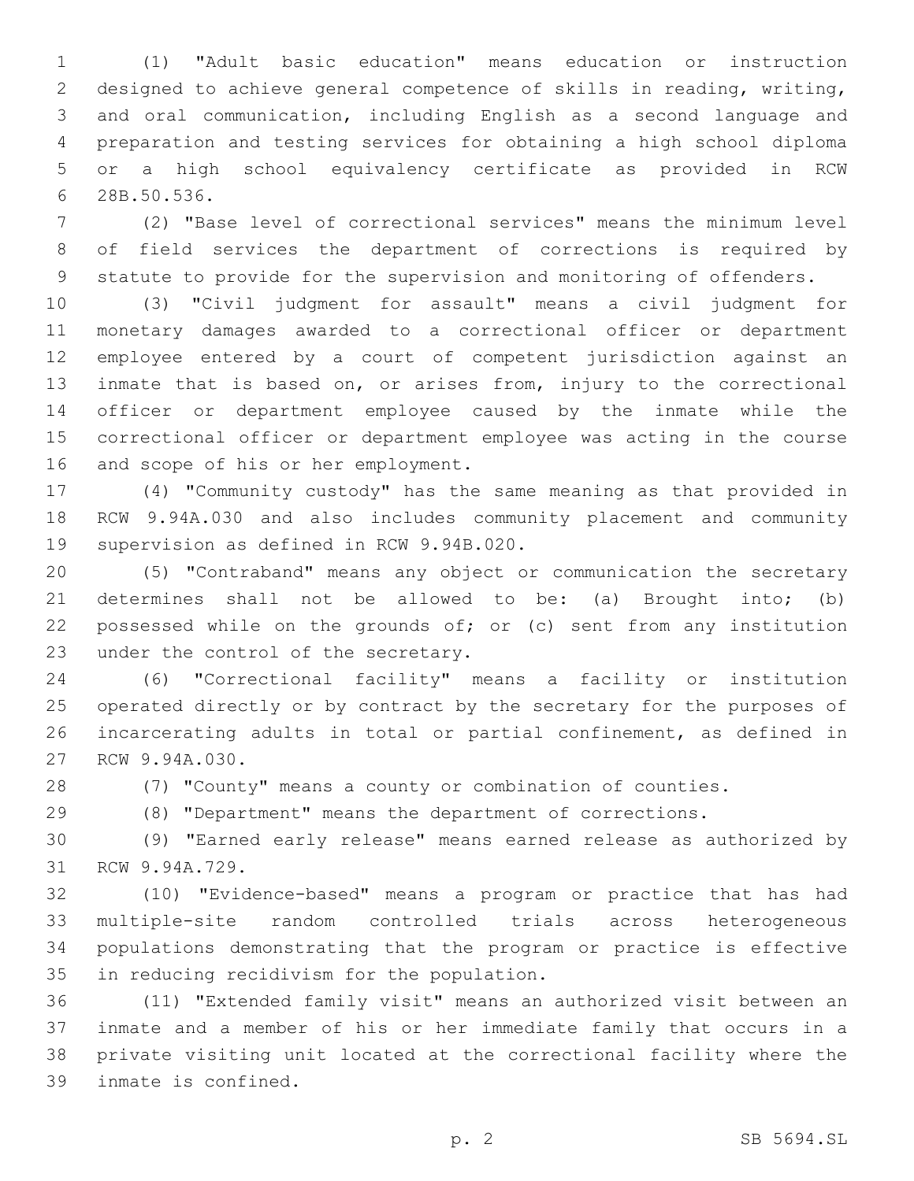(1) "Adult basic education" means education or instruction designed to achieve general competence of skills in reading, writing, and oral communication, including English as a second language and preparation and testing services for obtaining a high school diploma or a high school equivalency certificate as provided in RCW 6 28B.50.536.

 (2) "Base level of correctional services" means the minimum level of field services the department of corrections is required by statute to provide for the supervision and monitoring of offenders.

 (3) "Civil judgment for assault" means a civil judgment for monetary damages awarded to a correctional officer or department employee entered by a court of competent jurisdiction against an inmate that is based on, or arises from, injury to the correctional officer or department employee caused by the inmate while the correctional officer or department employee was acting in the course 16 and scope of his or her employment.

 (4) "Community custody" has the same meaning as that provided in RCW 9.94A.030 and also includes community placement and community 19 supervision as defined in RCW 9.94B.020.

 (5) "Contraband" means any object or communication the secretary determines shall not be allowed to be: (a) Brought into; (b) possessed while on the grounds of; or (c) sent from any institution 23 under the control of the secretary.

 (6) "Correctional facility" means a facility or institution operated directly or by contract by the secretary for the purposes of incarcerating adults in total or partial confinement, as defined in 27 RCW 9.94A.030.

(7) "County" means a county or combination of counties.

(8) "Department" means the department of corrections.

 (9) "Earned early release" means earned release as authorized by 31 RCW 9.94A.729.

 (10) "Evidence-based" means a program or practice that has had multiple-site random controlled trials across heterogeneous populations demonstrating that the program or practice is effective 35 in reducing recidivism for the population.

 (11) "Extended family visit" means an authorized visit between an inmate and a member of his or her immediate family that occurs in a private visiting unit located at the correctional facility where the 39 inmate is confined.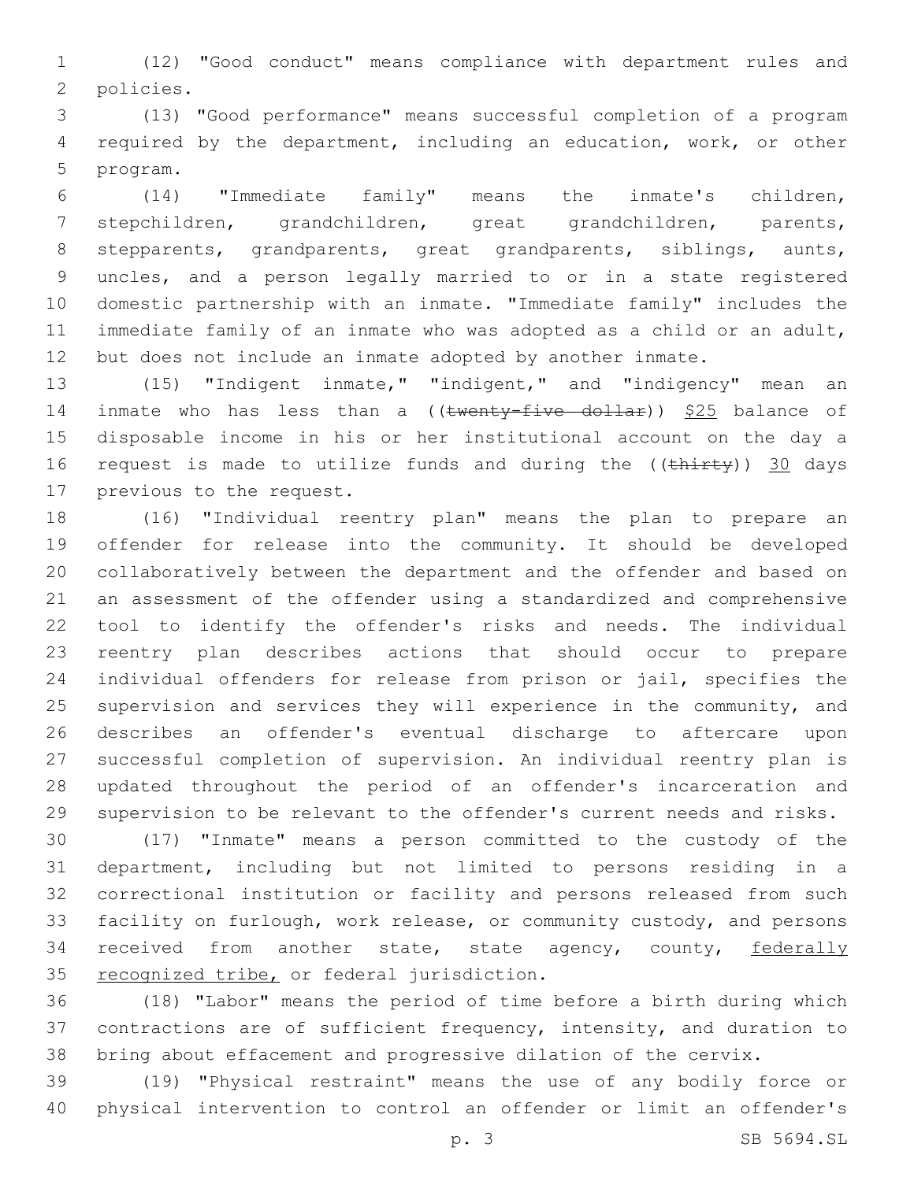(12) "Good conduct" means compliance with department rules and 2 policies.

 (13) "Good performance" means successful completion of a program required by the department, including an education, work, or other 5 program.

 (14) "Immediate family" means the inmate's children, stepchildren, grandchildren, great grandchildren, parents, stepparents, grandparents, great grandparents, siblings, aunts, uncles, and a person legally married to or in a state registered domestic partnership with an inmate. "Immediate family" includes the immediate family of an inmate who was adopted as a child or an adult, but does not include an inmate adopted by another inmate.

 (15) "Indigent inmate," "indigent," and "indigency" mean an 14 inmate who has less than a ((twenty-five dollar)) \$25 balance of disposable income in his or her institutional account on the day a 16 request is made to utilize funds and during the ((thirty)) 30 days 17 previous to the request.

 (16) "Individual reentry plan" means the plan to prepare an offender for release into the community. It should be developed collaboratively between the department and the offender and based on an assessment of the offender using a standardized and comprehensive tool to identify the offender's risks and needs. The individual reentry plan describes actions that should occur to prepare individual offenders for release from prison or jail, specifies the 25 supervision and services they will experience in the community, and describes an offender's eventual discharge to aftercare upon successful completion of supervision. An individual reentry plan is updated throughout the period of an offender's incarceration and supervision to be relevant to the offender's current needs and risks.

 (17) "Inmate" means a person committed to the custody of the department, including but not limited to persons residing in a correctional institution or facility and persons released from such facility on furlough, work release, or community custody, and persons 34 received from another state, state agency, county, federally 35 recognized tribe, or federal jurisdiction.

 (18) "Labor" means the period of time before a birth during which contractions are of sufficient frequency, intensity, and duration to bring about effacement and progressive dilation of the cervix.

 (19) "Physical restraint" means the use of any bodily force or physical intervention to control an offender or limit an offender's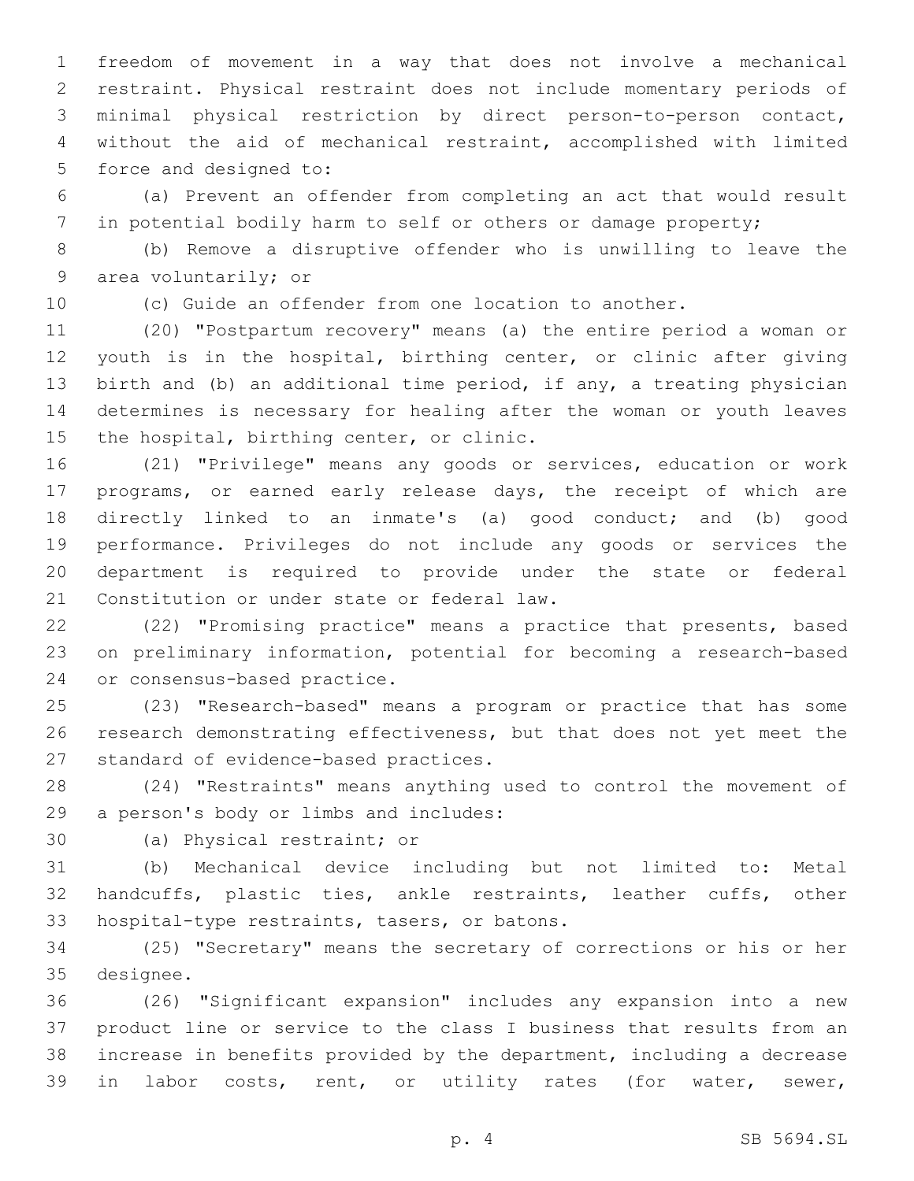freedom of movement in a way that does not involve a mechanical restraint. Physical restraint does not include momentary periods of minimal physical restriction by direct person-to-person contact, without the aid of mechanical restraint, accomplished with limited 5 force and designed to:

 (a) Prevent an offender from completing an act that would result in potential bodily harm to self or others or damage property;

 (b) Remove a disruptive offender who is unwilling to leave the 9 area voluntarily; or

(c) Guide an offender from one location to another.

 (20) "Postpartum recovery" means (a) the entire period a woman or youth is in the hospital, birthing center, or clinic after giving birth and (b) an additional time period, if any, a treating physician determines is necessary for healing after the woman or youth leaves 15 the hospital, birthing center, or clinic.

 (21) "Privilege" means any goods or services, education or work programs, or earned early release days, the receipt of which are directly linked to an inmate's (a) good conduct; and (b) good performance. Privileges do not include any goods or services the department is required to provide under the state or federal 21 Constitution or under state or federal law.

 (22) "Promising practice" means a practice that presents, based on preliminary information, potential for becoming a research-based 24 or consensus-based practice.

 (23) "Research-based" means a program or practice that has some research demonstrating effectiveness, but that does not yet meet the 27 standard of evidence-based practices.

 (24) "Restraints" means anything used to control the movement of 29 a person's body or limbs and includes:

30 (a) Physical restraint; or

 (b) Mechanical device including but not limited to: Metal handcuffs, plastic ties, ankle restraints, leather cuffs, other 33 hospital-type restraints, tasers, or batons.

 (25) "Secretary" means the secretary of corrections or his or her 35 designee.

 (26) "Significant expansion" includes any expansion into a new product line or service to the class I business that results from an increase in benefits provided by the department, including a decrease in labor costs, rent, or utility rates (for water, sewer,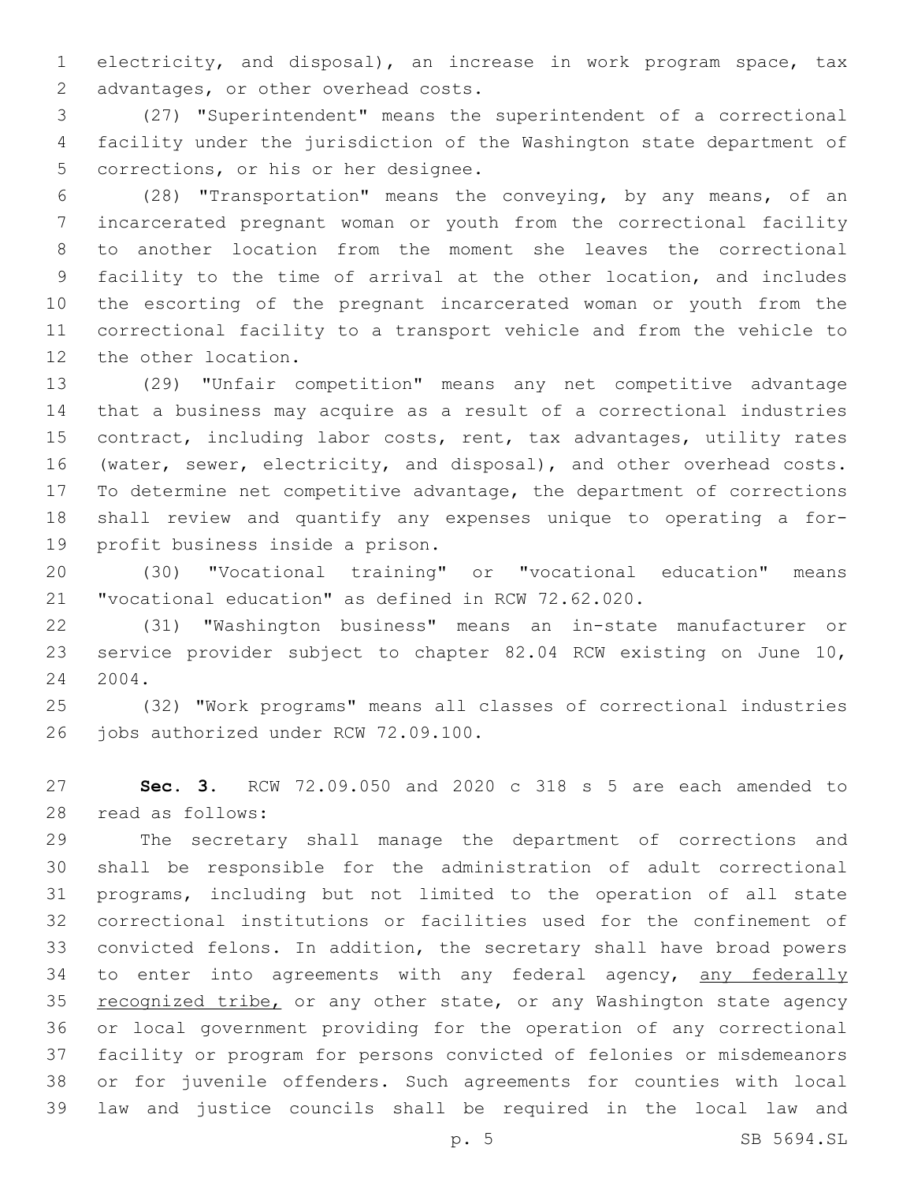electricity, and disposal), an increase in work program space, tax 2 advantages, or other overhead costs.

 (27) "Superintendent" means the superintendent of a correctional facility under the jurisdiction of the Washington state department of 5 corrections, or his or her designee.

 (28) "Transportation" means the conveying, by any means, of an incarcerated pregnant woman or youth from the correctional facility to another location from the moment she leaves the correctional facility to the time of arrival at the other location, and includes the escorting of the pregnant incarcerated woman or youth from the correctional facility to a transport vehicle and from the vehicle to 12 the other location.

 (29) "Unfair competition" means any net competitive advantage that a business may acquire as a result of a correctional industries contract, including labor costs, rent, tax advantages, utility rates (water, sewer, electricity, and disposal), and other overhead costs. To determine net competitive advantage, the department of corrections shall review and quantify any expenses unique to operating a for-19 profit business inside a prison.

 (30) "Vocational training" or "vocational education" means "vocational education" as defined in RCW 72.62.020.

 (31) "Washington business" means an in-state manufacturer or service provider subject to chapter 82.04 RCW existing on June 10, 2004.

 (32) "Work programs" means all classes of correctional industries 26 jobs authorized under RCW 72.09.100.

 **Sec. 3.** RCW 72.09.050 and 2020 c 318 s 5 are each amended to read as follows:28

 The secretary shall manage the department of corrections and shall be responsible for the administration of adult correctional programs, including but not limited to the operation of all state correctional institutions or facilities used for the confinement of convicted felons. In addition, the secretary shall have broad powers 34 to enter into agreements with any federal agency, any federally 35 recognized tribe, or any other state, or any Washington state agency or local government providing for the operation of any correctional facility or program for persons convicted of felonies or misdemeanors or for juvenile offenders. Such agreements for counties with local law and justice councils shall be required in the local law and

p. 5 SB 5694.SL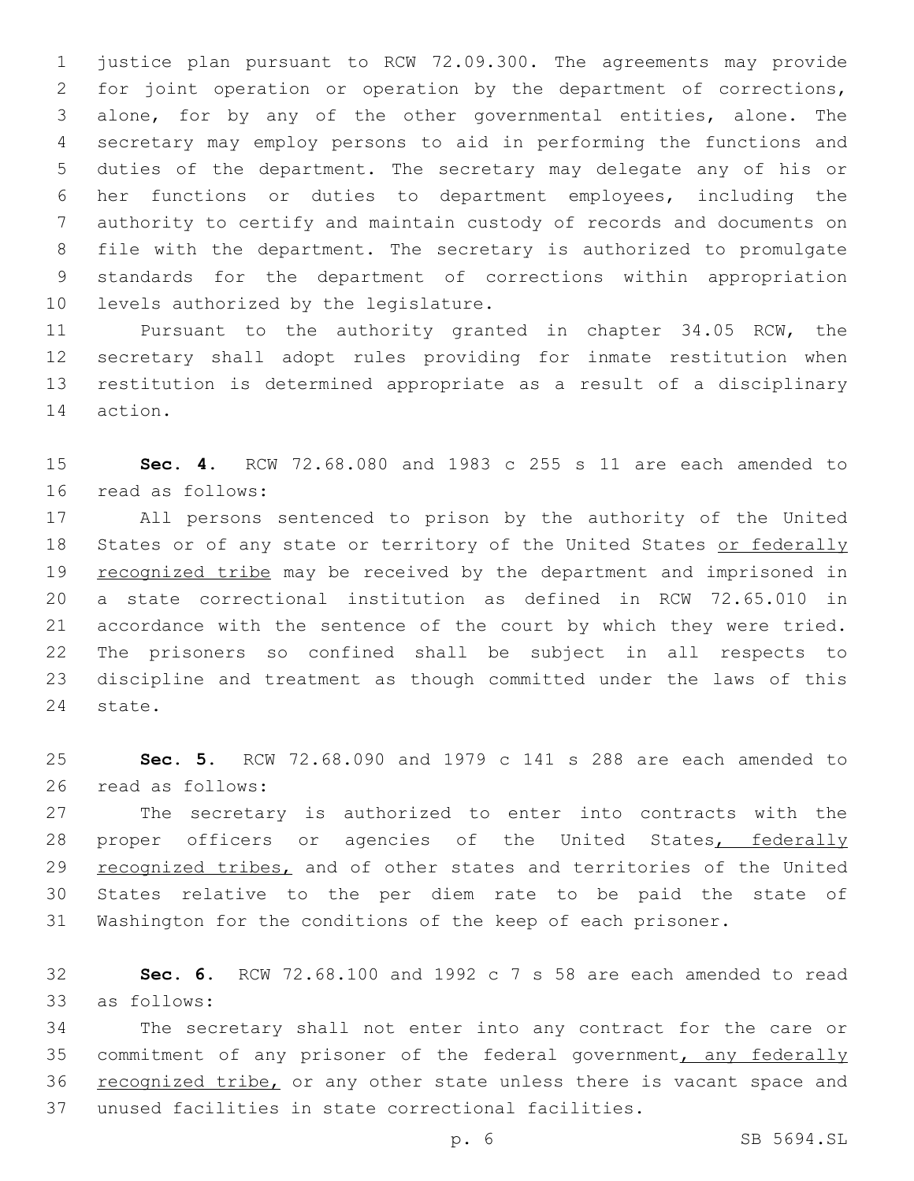justice plan pursuant to RCW 72.09.300. The agreements may provide for joint operation or operation by the department of corrections, alone, for by any of the other governmental entities, alone. The secretary may employ persons to aid in performing the functions and duties of the department. The secretary may delegate any of his or her functions or duties to department employees, including the authority to certify and maintain custody of records and documents on file with the department. The secretary is authorized to promulgate standards for the department of corrections within appropriation 10 levels authorized by the legislature.

 Pursuant to the authority granted in chapter 34.05 RCW, the secretary shall adopt rules providing for inmate restitution when restitution is determined appropriate as a result of a disciplinary 14 action.

 **Sec. 4.** RCW 72.68.080 and 1983 c 255 s 11 are each amended to 16 read as follows:

 All persons sentenced to prison by the authority of the United 18 States or of any state or territory of the United States or federally 19 recognized tribe may be received by the department and imprisoned in a state correctional institution as defined in RCW 72.65.010 in accordance with the sentence of the court by which they were tried. The prisoners so confined shall be subject in all respects to discipline and treatment as though committed under the laws of this 24 state.

 **Sec. 5.** RCW 72.68.090 and 1979 c 141 s 288 are each amended to 26 read as follows:

 The secretary is authorized to enter into contracts with the 28 proper officers or agencies of the United States, federally 29 recognized tribes, and of other states and territories of the United States relative to the per diem rate to be paid the state of Washington for the conditions of the keep of each prisoner.

 **Sec. 6.** RCW 72.68.100 and 1992 c 7 s 58 are each amended to read as follows:33

 The secretary shall not enter into any contract for the care or 35 commitment of any prisoner of the federal government, any federally 36 recognized tribe, or any other state unless there is vacant space and unused facilities in state correctional facilities.

p. 6 SB 5694.SL